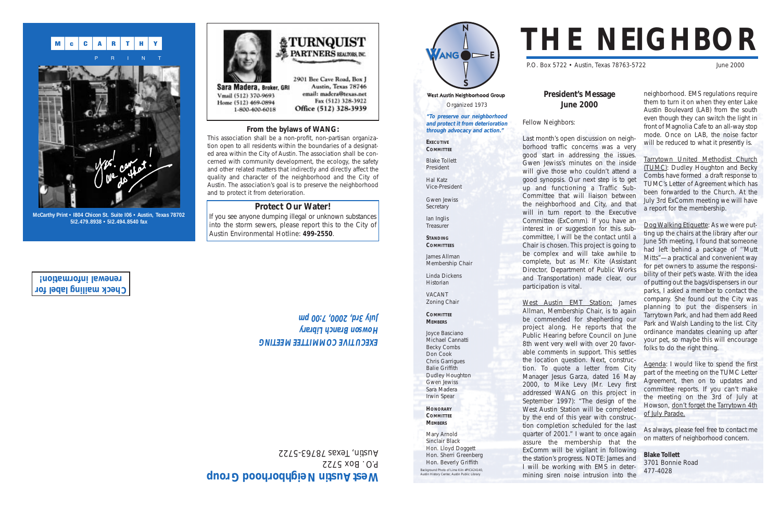# West Austin Neighborhood Group Organized 1973 **"To preserve our neighborhood and protect it from deterioration through advocacy and action."**

ANG **DE** 

Gwen Jewiss **Secretary** 

Ian Inglis **Treasurer** 

**EXECUTIVE COMMITTEE**

Blake Tollett President

Hal Katz Vice-President

**STANDING COMMITTEES**

James Allman

Membership Chair

Linda Dickens Historian VACANT Zoning Chair

**COMMITTEE MEMBERS**

Joyce Basciano Michael Cannatti Becky Combs Don Cook Chris Garrigues Balie Griffith Dudley Houghton Gwen Jewiss Sara Madera Irwin Spear **HONORARY COMMITTEE MEMBERS** Mary Arnold Sinclair Black Hon. Lloyd Doggett Hon. Sherri Greenberg Hon. Beverly Griffith



good start in addressing the issues. Gwen Jewiss's minutes on the inside will give those who couldn't attend a good synopsis. Our next step is to get up and functioning a Traffic Sub-Committee that will liaison between the neighborhood and City, and that will in turn report to the Executive Committee (ExComm). If you have an interest in or suggestion for this subcommittee, I will be the contact until a Chair is chosen. This project is going to be complex and will take awhile to complete, but as Mr. Kite (Assistant Director, Department of Public Works and Transportation) made clear, our participation is vital.

P.O. Box 5722 • Austin, Texas 78763-5722 June 2000 **President's Message June 2000** Fellow Neighbors: Last month's open discussion on neighborhood traffic concerns was a very neighborhood. EMS regulations require them to turn it on when they enter Lake Austin Boulevard (LAB) from the south even though they can switch the light in front of Magnolia Cafe to an all-way stop mode. Once on LAB, the noise factor will be reduced to what it presently is.

West Austin EMT Station: James Allman, Membership Chair, is to again be commended for shepherding our project along. He reports that the Public Hearing before Council on June 8th went very well with over 20 favorable comments in support. This settles the location question. Next, construction. To quote a letter from City Manager Jesus Garza, dated 16 May 2000, to Mike Levy (Mr. Levy first addressed WANG on this project in September 1997): "The design of the West Austin Station will be completed by the end of this year with construction completion scheduled for the last quarter of 2001." I want to once again assure the membership that the ExComm will be vigilant in following the station's progress. NOTE: James and I will be working with EMS in determining siren noise intrusion into the

If you see anyone dumping illegal or unknown substances into the storm sewers, please report this to the City of Austin Environmental Hotline: **499-2550**.

# West Austin Neighborhood Group

P.O. Box 5722 Austin, Texas 7876-5722

# EXECOLINE COMMILLEE WEELING **Howson Branch Library July 3rd, 2000, 7:00 pm**

Tarrytown United Methodist Church (TUMC): Dudley Houghton and Becky Combs have formed a draft response to TUMC's Letter of Agreement which has been forwarded to the Church. At the July 3rd ExComm meeting we will have a report for the membership.

Dog Walking Etiquette: As we were putting up the chairs at the library after our June 5th meeting, I found that someone had left behind a package of ''Mutt Mitts"—a practical and convenient way for pet owners to assume the responsibility of their pet's waste. With the idea of putting out the bags/dispensers in our parks, I asked a member to contact the company. She found out the City was planning to put the dispensers in Tarrytown Park, and had them add Reed Park and Walsh Landing to the list. City ordinance mandates cleaning up after your pet, so maybe this will encourage folks to do the right thing.

Agenda: I would like to spend the first part of the meeting on the TUMC Letter Agreement, then on to updates and committee reports. If you can't make the meeting on the 3rd of July at Howson, don't forget the Tarrytown 4th of July Parade.

As always, please feel free to contact me on matters of neighborhood concern.

**Blake Tollett** 3701 Bonnie Road 477-4028

# **From the bylaws of WANG:**

This association shall be a non-profit, non-partisan organization open to all residents within the boundaries of a designated area within the City of Austin. The association shall be concerned with community development, the ecology, the safety and other related matters that indirectly and directly affect the quality and character of the neighborhood and the City of Austin. The association's goal is to preserve the neighborhood and to protect it from deterioration.

# **Protect Our Water!**

Background Photo of Lime Kiln #PICA24140, Austin History Center, Austin Public Library





**McCarthy Print • I804 Chicon St. Suite I06 • Austin, Texas 78702 5I2.479.8938 • 5I2.494.8540 fax**

**Check mailing label for renewal information!**